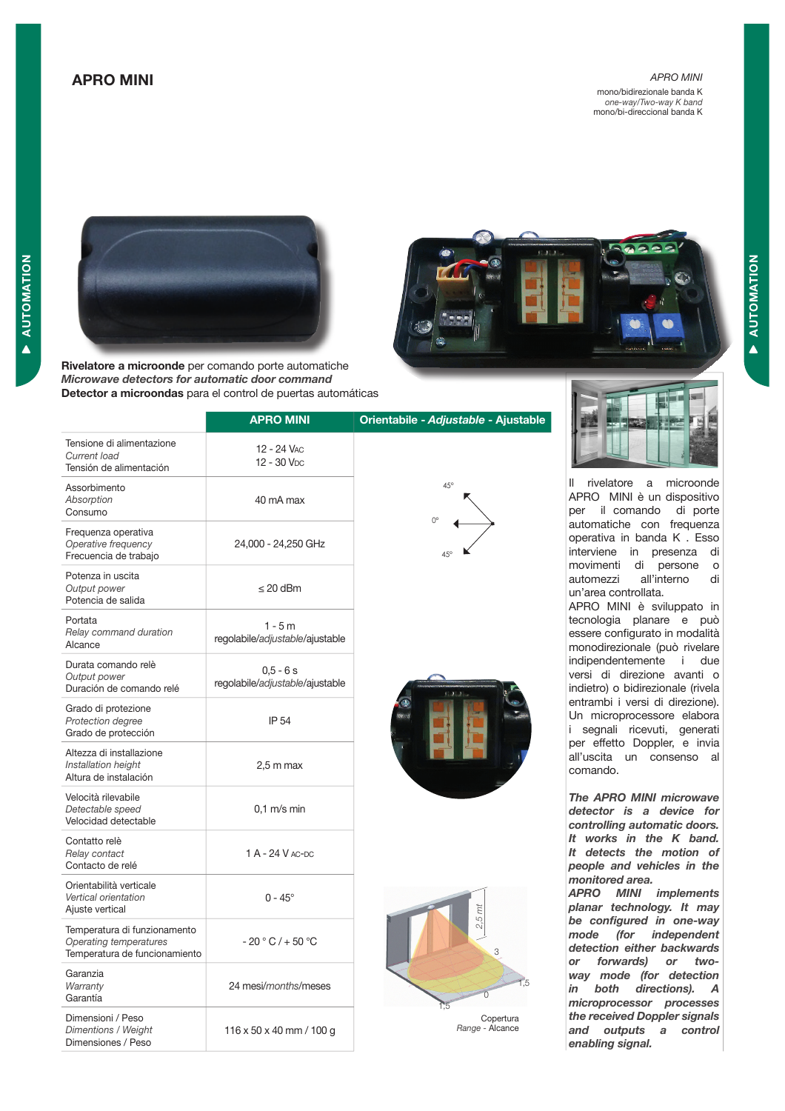# APRO MINI

*APRO MINI* mono/bidirezionale banda K *one-way/Two-way K band* mono/bi-direccional banda K



Rivelatore a microonde per comando porte automatiche Microwave detectors for automatic door command Detector a microondas para el control de puertas automáticas



|                                                                                         | <b>APRO MINI</b>                              | Orientabile - Adjustable - Ajustable |  |
|-----------------------------------------------------------------------------------------|-----------------------------------------------|--------------------------------------|--|
| Tensione di alimentazione<br>Current load<br>Tensión de alimentación                    | 12 - 24 VAC<br>12 - 30 V <sub>DC</sub>        |                                      |  |
| Assorbimento<br>Absorption<br>Consumo                                                   | 40 mA max                                     | $45^{\circ}$<br>$O^{\circ}$          |  |
| Frequenza operativa<br>Operative frequency<br>Frecuencia de trabajo                     | 24,000 - 24,250 GHz                           |                                      |  |
| Potenza in uscita<br>Output power<br>Potencia de salida                                 | $\leq$ 20 dBm                                 |                                      |  |
| Portata<br>Relay command duration<br>Alcance                                            | $1 - 5m$<br>regolabile/adjustable/ajustable   |                                      |  |
| Durata comando relè<br>Output power<br>Duración de comando relé                         | $0.5 - 6s$<br>regolabile/adjustable/ajustable | 机工工工                                 |  |
| Grado di protezione<br>Protection degree<br>Grado de protección                         | IP 54                                         |                                      |  |
| Altezza di installazione<br>Installation height<br>Altura de instalación                | $2.5 \text{ m}$ max                           |                                      |  |
| Velocità rilevabile<br>Detectable speed<br>Velocidad detectable                         | $0.1$ m/s min                                 |                                      |  |
| Contatto relè<br>Relay contact<br>Contacto de relé                                      | 1 A - 24 V AC-DC                              |                                      |  |
| Orientabilità verticale<br>Vertical orientation<br>Ajuste vertical                      | $0 - 45^{\circ}$                              | $2,5$ mt                             |  |
| Temperatura di funzionamento<br>Operating temperatures<br>Temperatura de funcionamiento | $-20 °C$ / $+50 °C$                           | 3                                    |  |
| Garanzia<br>Warranty<br>Garantía                                                        | 24 mesi/months/meses                          |                                      |  |
| Dimensioni / Peso<br>Dimentions / Weight<br>Dimensiones / Peso                          | $116 \times 50 \times 40$ mm / 100 g          | Copertura<br>Range - Alcance         |  |









Il rivelatore a microonde APRO MINI è un dispositivo per il comando di porte automatiche con frequenza operativa in banda K . Esso interviene in presenza di movimenti di persone o automezzi all'interno di un'area controllata.

APRO MINI è sviluppato in tecnologia planare e può essere configurato in modalità monodirezionale (può rivelare indipendentemente i due versi di direzione avanti o indietro) o bidirezionale (rivela entrambi i versi di direzione). Un microprocessore elabora i segnali ricevuti, generati per effetto Doppler, e invia all'uscita un consenso al comando.

The APRO MINI microwave detector is a device for controlling automatic doors. It works in the K band. It detects the motion of people and vehicles in the monitored area. APRO MINI implements planar technology. It may be configured in one-way mode (for independent detection either backwards or forwards) or twoway mode (for detection in both directions). A microprocessor processes the received Doppler signals and outputs a control enabling signal.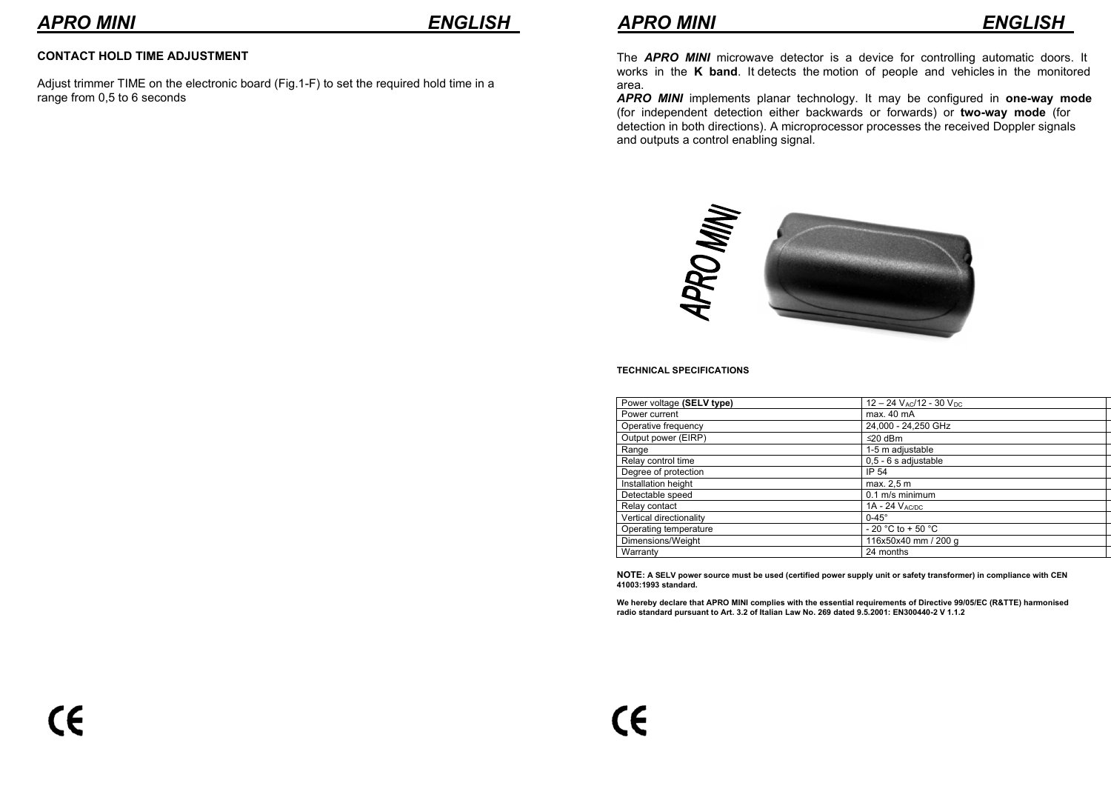# **CONTACT HOLD TIME ADJUSTMENT**

Adjust trimmer TIME on the electronic board (Fig.1-F) to set the required hold time in a range from 0,5 to 6 seconds

The *APRO MINI* microwave detector is a device for controlling automatic doors. It works in the **K band**. It detects the motion of people and vehicles in the monitored area.

*APRO MINI* implements planar technology. It may be configured in **one-way mode**  (for independent detection either backwards or forwards) or **two-way mode** (for detection in both directions). A microprocessor processes the received Doppler signals and outputs a control enabling signal.



### **TECHNICAL SPECIFICATIONS**

| Power voltage (SELV type) | $12 - 24$ V <sub>AC</sub> /12 - 30 V <sub>DC</sub> |  |
|---------------------------|----------------------------------------------------|--|
| Power current             | max. 40 mA                                         |  |
| Operative frequency       | 24,000 - 24,250 GHz                                |  |
| Output power (EIRP)       | $≤20$ dBm                                          |  |
| Range                     | 1-5 m adjustable                                   |  |
| Relay control time        | 0,5 - 6 s adjustable                               |  |
| Degree of protection      | IP 54                                              |  |
| Installation height       | max. 2.5 m                                         |  |
| Detectable speed          | $0.1$ m/s minimum                                  |  |
| Relay contact             | $1A - 24$ $V_{AC/DC}$                              |  |
| Vertical directionality   | $0-45^\circ$                                       |  |
| Operating temperature     | $-20$ °C to $+50$ °C                               |  |
| Dimensions/Weight         | 116x50x40 mm / 200 g                               |  |
| Warranty                  | 24 months                                          |  |

**NOTE: A SELV power source must be used (certified power supply unit or safety transformer) in compliance with CEN 41003:1993 standard.**

We hereby declare that APRO MINI complies with the essential requirements of Directive 99/05/EC (R&TTE) harmonised<br>radio standard pursuant to Art. 3.2 of Italian Law No. 269 dated 9.5.2001: EN300440-2 V 1.1.2